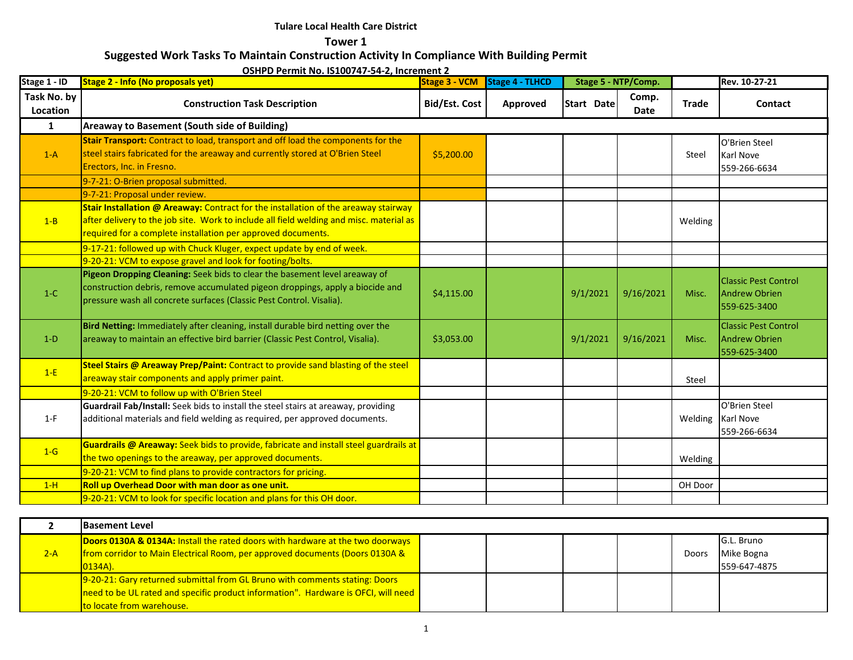**Tower 1**

# **Suggested Work Tasks To Maintain Construction Activity In Compliance With Building Permit**

| Stage 1 - ID            | 55111 B T CHINIL ROI 191007 <del>7</del> 7 57 E, MICICINCIIL E<br><b>Stage 2 - Info (No proposals yet)</b>                                                                                                                                     | <b>Stage 3 - VCM</b> | Stage 4 - TLHCD | Stage 5 - NTP/Comp. |                      |              | Rev. 10-27-21                                                       |
|-------------------------|------------------------------------------------------------------------------------------------------------------------------------------------------------------------------------------------------------------------------------------------|----------------------|-----------------|---------------------|----------------------|--------------|---------------------------------------------------------------------|
| Task No. by<br>Location | <b>Construction Task Description</b>                                                                                                                                                                                                           | <b>Bid/Est. Cost</b> | Approved        | Start Date          | Comp.<br><b>Date</b> | <b>Trade</b> | Contact                                                             |
| $\mathbf{1}$            | Areaway to Basement (South side of Building)                                                                                                                                                                                                   |                      |                 |                     |                      |              |                                                                     |
| $1-A$                   | Stair Transport: Contract to load, transport and off load the components for the<br>steel stairs fabricated for the areaway and currently stored at O'Brien Steel<br>Erectors, Inc. in Fresno.                                                 | \$5,200.00           |                 |                     |                      | Steel        | O'Brien Steel<br>Karl Nove<br>559-266-6634                          |
|                         | 9-7-21: O-Brien proposal submitted.                                                                                                                                                                                                            |                      |                 |                     |                      |              |                                                                     |
|                         | 9-7-21: Proposal under review.                                                                                                                                                                                                                 |                      |                 |                     |                      |              |                                                                     |
| $1 - B$                 | Stair Installation @ Areaway: Contract for the installation of the areaway stairway<br>after delivery to the job site. Work to include all field welding and misc. material as<br>required for a complete installation per approved documents. |                      |                 |                     |                      | Welding      |                                                                     |
|                         | 9-17-21: followed up with Chuck Kluger, expect update by end of week.                                                                                                                                                                          |                      |                 |                     |                      |              |                                                                     |
|                         | 9-20-21: VCM to expose gravel and look for footing/bolts.                                                                                                                                                                                      |                      |                 |                     |                      |              |                                                                     |
| $1-C$                   | Pigeon Dropping Cleaning: Seek bids to clear the basement level areaway of<br>construction debris, remove accumulated pigeon droppings, apply a biocide and<br>pressure wash all concrete surfaces (Classic Pest Control. Visalia).            | \$4,115.00           |                 | 9/1/2021            | 9/16/2021            | Misc.        | <b>Classic Pest Control</b><br><b>Andrew Obrien</b><br>559-625-3400 |
| $1-D$                   | Bird Netting: Immediately after cleaning, install durable bird netting over the<br>areaway to maintain an effective bird barrier (Classic Pest Control, Visalia).                                                                              | \$3,053.00           |                 | 9/1/2021            | 9/16/2021            | Misc.        | <b>Classic Pest Control</b><br>Andrew Obrien<br>559-625-3400        |
| $1-E$                   | Steel Stairs @ Areaway Prep/Paint: Contract to provide sand blasting of the steel<br>areaway stair components and apply primer paint.                                                                                                          |                      |                 |                     |                      | Steel        |                                                                     |
|                         | 9-20-21: VCM to follow up with O'Brien Steel                                                                                                                                                                                                   |                      |                 |                     |                      |              |                                                                     |
| $1-F$                   | Guardrail Fab/Install: Seek bids to install the steel stairs at areaway, providing<br>additional materials and field welding as required, per approved documents.                                                                              |                      |                 |                     |                      | Welding      | O'Brien Steel<br><b>Karl Nove</b><br>559-266-6634                   |
| $1-G$                   | Guardrails @ Areaway: Seek bids to provide, fabricate and install steel guardrails at<br>the two openings to the areaway, per approved documents.                                                                                              |                      |                 |                     |                      | Welding      |                                                                     |
|                         | 9-20-21: VCM to find plans to provide contractors for pricing.                                                                                                                                                                                 |                      |                 |                     |                      |              |                                                                     |
| $1-H$                   | Roll up Overhead Door with man door as one unit.                                                                                                                                                                                               |                      |                 |                     |                      | OH Door      |                                                                     |
|                         | 9-20-21: VCM to look for specific location and plans for this OH door.                                                                                                                                                                         |                      |                 |                     |                      |              |                                                                     |
| $\overline{2}$          | <b>Basement Level</b>                                                                                                                                                                                                                          |                      |                 |                     |                      |              |                                                                     |

|       | <b>Basement Level</b>                                                              |  |  |       |              |
|-------|------------------------------------------------------------------------------------|--|--|-------|--------------|
|       | Doors 0130A & 0134A: Install the rated doors with hardware at the two doorways     |  |  |       | G.L. Bruno   |
| $2-A$ | from corridor to Main Electrical Room, per approved documents (Doors 0130A &       |  |  | Doors | Mike Bogna   |
|       | $0134A$ ).                                                                         |  |  |       | 559-647-4875 |
|       | 9-20-21: Gary returned submittal from GL Bruno with comments stating: Doors        |  |  |       |              |
|       | need to be UL rated and specific product information". Hardware is OFCI, will need |  |  |       |              |
|       | to locate from warehouse.                                                          |  |  |       |              |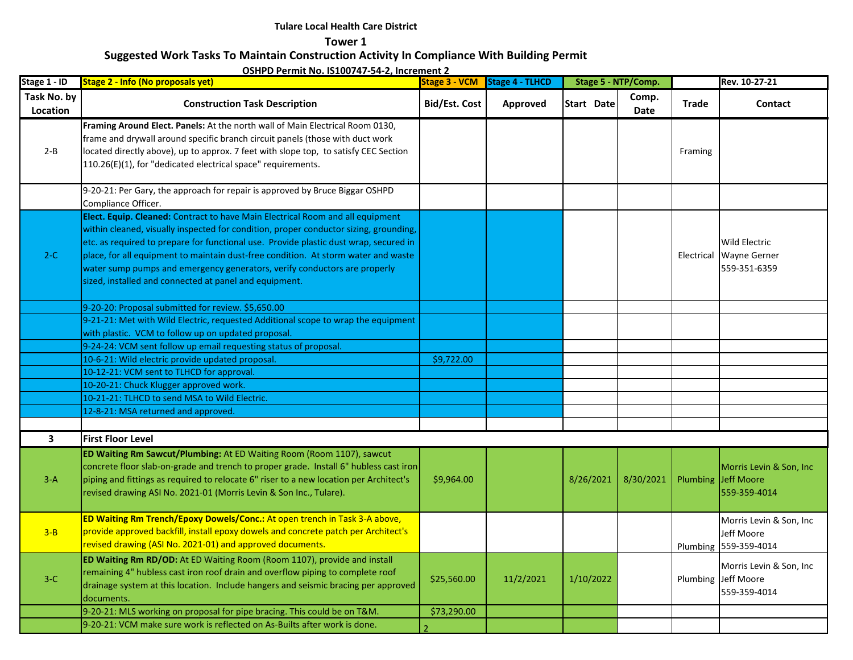**Tower 1**

# **Suggested Work Tasks To Maintain Construction Activity In Compliance With Building Permit**

| Stage 1 - ID            | <b>Stage 2 - Info (No proposals yet)</b>                                                                                                                                                                                                                                                                                                                                                                                                                                                      |                      | Stage 3 - VCM Stage 4 - TLHCD |            | Stage 5 - NTP/Comp. |              | Rev. 10-27-21                                                   |
|-------------------------|-----------------------------------------------------------------------------------------------------------------------------------------------------------------------------------------------------------------------------------------------------------------------------------------------------------------------------------------------------------------------------------------------------------------------------------------------------------------------------------------------|----------------------|-------------------------------|------------|---------------------|--------------|-----------------------------------------------------------------|
| Task No. by<br>Location | <b>Construction Task Description</b>                                                                                                                                                                                                                                                                                                                                                                                                                                                          | <b>Bid/Est. Cost</b> | Approved                      | Start Date | Comp.<br>Date       | <b>Trade</b> | Contact                                                         |
| $2 - B$                 | Framing Around Elect. Panels: At the north wall of Main Electrical Room 0130,<br>frame and drywall around specific branch circuit panels (those with duct work<br>located directly above), up to approx. 7 feet with slope top, to satisfy CEC Section<br>110.26(E)(1), for "dedicated electrical space" requirements.                                                                                                                                                                        |                      |                               |            |                     | Framing      |                                                                 |
|                         | 9-20-21: Per Gary, the approach for repair is approved by Bruce Biggar OSHPD<br>Compliance Officer.                                                                                                                                                                                                                                                                                                                                                                                           |                      |                               |            |                     |              |                                                                 |
| $2-C$                   | Elect. Equip. Cleaned: Contract to have Main Electrical Room and all equipment<br>within cleaned, visually inspected for condition, proper conductor sizing, grounding,<br>etc. as required to prepare for functional use. Provide plastic dust wrap, secured in<br>place, for all equipment to maintain dust-free condition. At storm water and waste<br>water sump pumps and emergency generators, verify conductors are properly<br>sized, installed and connected at panel and equipment. |                      |                               |            |                     |              | <b>Wild Electric</b><br>Electrical Wayne Gerner<br>559-351-6359 |
|                         | 9-20-20: Proposal submitted for review. \$5,650.00                                                                                                                                                                                                                                                                                                                                                                                                                                            |                      |                               |            |                     |              |                                                                 |
|                         | 9-21-21: Met with Wild Electric, requested Additional scope to wrap the equipment<br>with plastic. VCM to follow up on updated proposal.                                                                                                                                                                                                                                                                                                                                                      |                      |                               |            |                     |              |                                                                 |
|                         | 9-24-24: VCM sent follow up email requesting status of proposal.                                                                                                                                                                                                                                                                                                                                                                                                                              |                      |                               |            |                     |              |                                                                 |
|                         | 10-6-21: Wild electric provide updated proposal.                                                                                                                                                                                                                                                                                                                                                                                                                                              | \$9,722.00           |                               |            |                     |              |                                                                 |
|                         | 10-12-21: VCM sent to TLHCD for approval.                                                                                                                                                                                                                                                                                                                                                                                                                                                     |                      |                               |            |                     |              |                                                                 |
|                         | 10-20-21: Chuck Klugger approved work.                                                                                                                                                                                                                                                                                                                                                                                                                                                        |                      |                               |            |                     |              |                                                                 |
|                         | 10-21-21: TLHCD to send MSA to Wild Electric.                                                                                                                                                                                                                                                                                                                                                                                                                                                 |                      |                               |            |                     |              |                                                                 |
|                         | 12-8-21: MSA returned and approved.                                                                                                                                                                                                                                                                                                                                                                                                                                                           |                      |                               |            |                     |              |                                                                 |
|                         |                                                                                                                                                                                                                                                                                                                                                                                                                                                                                               |                      |                               |            |                     |              |                                                                 |
| $\overline{\mathbf{3}}$ | <b>First Floor Level</b>                                                                                                                                                                                                                                                                                                                                                                                                                                                                      |                      |                               |            |                     |              |                                                                 |
| $3-A$                   | <b>ED Waiting Rm Sawcut/Plumbing: At ED Waiting Room (Room 1107), sawcut</b><br>concrete floor slab-on-grade and trench to proper grade. Install 6" hubless cast iron<br>piping and fittings as required to relocate 6" riser to a new location per Architect's<br>revised drawing ASI No. 2021-01 (Morris Levin & Son Inc., Tulare).                                                                                                                                                         | \$9,964.00           |                               | 8/26/2021  | 8/30/2021           |              | Morris Levin & Son, Inc.<br>Plumbing Jeff Moore<br>559-359-4014 |
| $3 - B$                 | ED Waiting Rm Trench/Epoxy Dowels/Conc.: At open trench in Task 3-A above,<br>provide approved backfill, install epoxy dowels and concrete patch per Architect's<br>revised drawing (ASI No. 2021-01) and approved documents.                                                                                                                                                                                                                                                                 |                      |                               |            |                     |              | Morris Levin & Son, Inc.<br>Jeff Moore<br>Plumbing 559-359-4014 |
| $3-C$                   | ED Waiting Rm RD/OD: At ED Waiting Room (Room 1107), provide and install<br>remaining 4" hubless cast iron roof drain and overflow piping to complete roof<br>drainage system at this location. Include hangers and seismic bracing per approved<br>documents.                                                                                                                                                                                                                                | \$25,560.00          | 11/2/2021                     | 1/10/2022  |                     |              | Morris Levin & Son, Inc.<br>Plumbing Jeff Moore<br>559-359-4014 |
|                         | 9-20-21: MLS working on proposal for pipe bracing. This could be on T&M.                                                                                                                                                                                                                                                                                                                                                                                                                      | \$73,290.00          |                               |            |                     |              |                                                                 |
|                         | 9-20-21: VCM make sure work is reflected on As-Builts after work is done.                                                                                                                                                                                                                                                                                                                                                                                                                     |                      |                               |            |                     |              |                                                                 |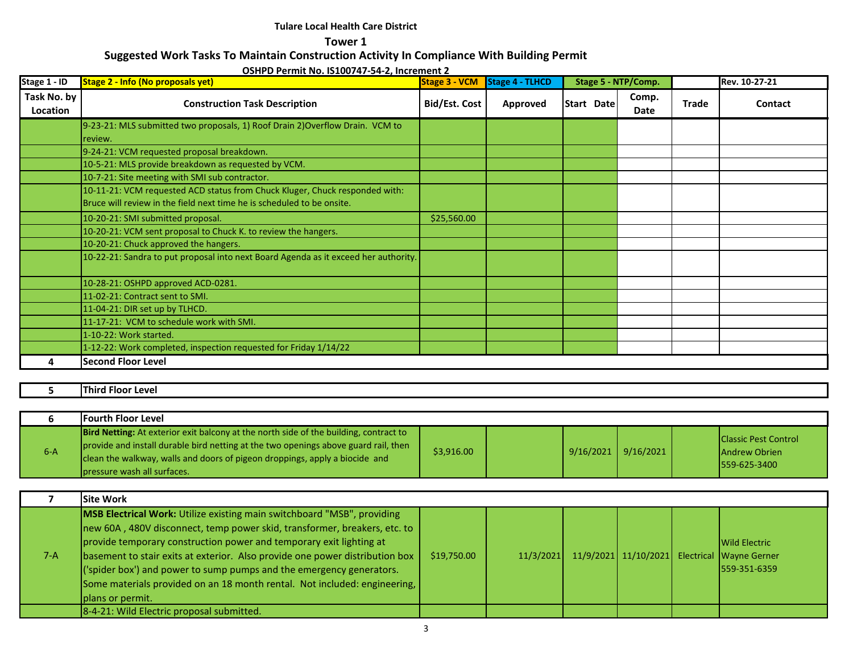**Tower 1**

# **Suggested Work Tasks To Maintain Construction Activity In Compliance With Building Permit**

**OSHPD Permit No. IS100747-54-2, Increment 2** 

| Stage 1 - ID            | <b>Stage 2 - Info (No proposals yet)</b>                                            | <b>Stage 3 - VCM</b> | Stage 4 - TLHCD |            | Stage 5 - NTP/Comp. |       | Rev. 10-27-21 |
|-------------------------|-------------------------------------------------------------------------------------|----------------------|-----------------|------------|---------------------|-------|---------------|
| Task No. by<br>Location | <b>Construction Task Description</b>                                                | <b>Bid/Est. Cost</b> | Approved        | Start Date | Comp.<br>Date       | Trade | Contact       |
|                         | 9-23-21: MLS submitted two proposals, 1) Roof Drain 2) Overflow Drain. VCM to       |                      |                 |            |                     |       |               |
|                         | review.                                                                             |                      |                 |            |                     |       |               |
|                         | 9-24-21: VCM requested proposal breakdown.                                          |                      |                 |            |                     |       |               |
|                         | 10-5-21: MLS provide breakdown as requested by VCM.                                 |                      |                 |            |                     |       |               |
|                         | 10-7-21: Site meeting with SMI sub contractor.                                      |                      |                 |            |                     |       |               |
|                         | 10-11-21: VCM requested ACD status from Chuck Kluger, Chuck responded with:         |                      |                 |            |                     |       |               |
|                         | Bruce will review in the field next time he is scheduled to be onsite.              |                      |                 |            |                     |       |               |
|                         | 10-20-21: SMI submitted proposal.                                                   | \$25,560.00          |                 |            |                     |       |               |
|                         | 10-20-21: VCM sent proposal to Chuck K. to review the hangers.                      |                      |                 |            |                     |       |               |
|                         | 10-20-21: Chuck approved the hangers.                                               |                      |                 |            |                     |       |               |
|                         | 10-22-21: Sandra to put proposal into next Board Agenda as it exceed her authority. |                      |                 |            |                     |       |               |
|                         | 10-28-21: OSHPD approved ACD-0281.                                                  |                      |                 |            |                     |       |               |
|                         | 11-02-21: Contract sent to SMI.                                                     |                      |                 |            |                     |       |               |
|                         | 11-04-21: DIR set up by TLHCD.                                                      |                      |                 |            |                     |       |               |
|                         | 11-17-21: VCM to schedule work with SMI.                                            |                      |                 |            |                     |       |               |
|                         | 1-10-22: Work started.                                                              |                      |                 |            |                     |       |               |
|                         | 1-12-22: Work completed, inspection requested for Friday 1/14/22                    |                      |                 |            |                     |       |               |
|                         | <b>Second Floor Level</b>                                                           |                      |                 |            |                     |       |               |

### **5 Third Floor Level**

|       | <b>IFourth Floor Level</b>                                                                                                                                                                                                                                                                         |            |                       |  |                                                                     |
|-------|----------------------------------------------------------------------------------------------------------------------------------------------------------------------------------------------------------------------------------------------------------------------------------------------------|------------|-----------------------|--|---------------------------------------------------------------------|
| $6-A$ | <b>Bird Netting:</b> At exterior exit balcony at the north side of the building, contract to<br>provide and install durable bird netting at the two openings above guard rail, then<br>clean the walkway, walls and doors of pigeon droppings, apply a biocide and<br>lpressure wash all surfaces. | \$3,916.00 | $9/16/2021$ 9/16/2021 |  | <b>Classic Pest Control</b><br><b>Andrew Obrien</b><br>559-625-3400 |

|       | <b>Site Work</b>                                                                                                                                                                                                                                                                                                                                                                                                                                                                            |             |  |  |                                                                                                |
|-------|---------------------------------------------------------------------------------------------------------------------------------------------------------------------------------------------------------------------------------------------------------------------------------------------------------------------------------------------------------------------------------------------------------------------------------------------------------------------------------------------|-------------|--|--|------------------------------------------------------------------------------------------------|
| $7-A$ | <b>MSB Electrical Work:</b> Utilize existing main switchboard "MSB", providing<br>new 60A, 480V disconnect, temp power skid, transformer, breakers, etc. to<br>provide temporary construction power and temporary exit lighting at<br>basement to stair exits at exterior. Also provide one power distribution box<br>('spider box') and power to sump pumps and the emergency generators.<br>Some materials provided on an 18 month rental. Not included: engineering,<br>plans or permit. | \$19,750.00 |  |  | <b>Wild Electric</b><br>11/3/2021 11/9/2021 11/10/2021 Electrical Wayne Gerner<br>559-351-6359 |
|       | 8-4-21: Wild Electric proposal submitted.                                                                                                                                                                                                                                                                                                                                                                                                                                                   |             |  |  |                                                                                                |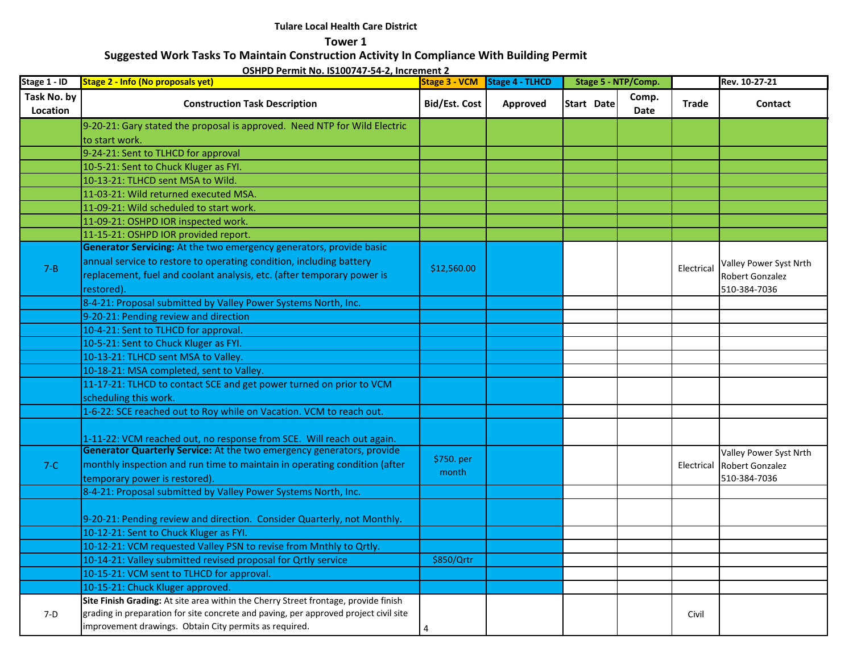**Tower 1**

# **Suggested Work Tasks To Maintain Construction Activity In Compliance With Building Permit**

| Stage 1 - ID            | <b>Stage 2 - Info (No proposals yet)</b>                                                                                                       |                      | Stage 3 - VCM Stage 4 - TLHCD | Stage 5 - NTP/Comp. |               |              | Rev. 10-27-21          |
|-------------------------|------------------------------------------------------------------------------------------------------------------------------------------------|----------------------|-------------------------------|---------------------|---------------|--------------|------------------------|
| Task No. by<br>Location | <b>Construction Task Description</b>                                                                                                           | <b>Bid/Est. Cost</b> | Approved                      | Start Date          | Comp.<br>Date | <b>Trade</b> | Contact                |
|                         | 9-20-21: Gary stated the proposal is approved. Need NTP for Wild Electric                                                                      |                      |                               |                     |               |              |                        |
|                         | to start work.                                                                                                                                 |                      |                               |                     |               |              |                        |
|                         | 9-24-21: Sent to TLHCD for approval                                                                                                            |                      |                               |                     |               |              |                        |
|                         | 10-5-21: Sent to Chuck Kluger as FYI.                                                                                                          |                      |                               |                     |               |              |                        |
|                         | 10-13-21: TLHCD sent MSA to Wild.                                                                                                              |                      |                               |                     |               |              |                        |
|                         | 11-03-21: Wild returned executed MSA.                                                                                                          |                      |                               |                     |               |              |                        |
|                         | 11-09-21: Wild scheduled to start work.                                                                                                        |                      |                               |                     |               |              |                        |
|                         | 11-09-21: OSHPD IOR inspected work.                                                                                                            |                      |                               |                     |               |              |                        |
|                         | 11-15-21: OSHPD IOR provided report.                                                                                                           |                      |                               |                     |               |              |                        |
|                         | Generator Servicing: At the two emergency generators, provide basic                                                                            |                      |                               |                     |               |              |                        |
| $7 - B$                 | annual service to restore to operating condition, including battery                                                                            | \$12,560.00          |                               |                     |               | Electrical   | Valley Power Syst Nrth |
|                         | replacement, fuel and coolant analysis, etc. (after temporary power is                                                                         |                      |                               |                     |               |              | Robert Gonzalez        |
|                         | restored).                                                                                                                                     |                      |                               |                     |               |              | 510-384-7036           |
|                         | 8-4-21: Proposal submitted by Valley Power Systems North, Inc.                                                                                 |                      |                               |                     |               |              |                        |
|                         | 9-20-21: Pending review and direction                                                                                                          |                      |                               |                     |               |              |                        |
|                         | 10-4-21: Sent to TLHCD for approval.                                                                                                           |                      |                               |                     |               |              |                        |
|                         | 10-5-21: Sent to Chuck Kluger as FYI.                                                                                                          |                      |                               |                     |               |              |                        |
|                         | 10-13-21: TLHCD sent MSA to Valley.                                                                                                            |                      |                               |                     |               |              |                        |
|                         | 10-18-21: MSA completed, sent to Valley.                                                                                                       |                      |                               |                     |               |              |                        |
|                         | 11-17-21: TLHCD to contact SCE and get power turned on prior to VCM                                                                            |                      |                               |                     |               |              |                        |
|                         | scheduling this work.                                                                                                                          |                      |                               |                     |               |              |                        |
|                         | 1-6-22: SCE reached out to Roy while on Vacation. VCM to reach out.                                                                            |                      |                               |                     |               |              |                        |
|                         | 1-11-22: VCM reached out, no response from SCE. Will reach out again.                                                                          |                      |                               |                     |               |              |                        |
|                         | Generator Quarterly Service: At the two emergency generators, provide                                                                          | \$750. per           |                               |                     |               |              | Valley Power Syst Nrth |
| $7-C$                   | monthly inspection and run time to maintain in operating condition (after                                                                      | month                |                               |                     |               | Electrical   | Robert Gonzalez        |
|                         | temporary power is restored).                                                                                                                  |                      |                               |                     |               |              | 510-384-7036           |
|                         | 8-4-21: Proposal submitted by Valley Power Systems North, Inc.                                                                                 |                      |                               |                     |               |              |                        |
|                         | 9-20-21: Pending review and direction. Consider Quarterly, not Monthly.                                                                        |                      |                               |                     |               |              |                        |
|                         | 10-12-21: Sent to Chuck Kluger as FYI.                                                                                                         |                      |                               |                     |               |              |                        |
|                         | 10-12-21: VCM requested Valley PSN to revise from Mnthly to Qrtly.                                                                             |                      |                               |                     |               |              |                        |
|                         | 10-14-21: Valley submitted revised proposal for Ortly service                                                                                  | \$850/Qrtr           |                               |                     |               |              |                        |
|                         | 10-15-21: VCM sent to TLHCD for approval.                                                                                                      |                      |                               |                     |               |              |                        |
|                         | 10-15-21: Chuck Kluger approved.                                                                                                               |                      |                               |                     |               |              |                        |
|                         | Site Finish Grading: At site area within the Cherry Street frontage, provide finish                                                            |                      |                               |                     |               |              |                        |
| $7-D$                   | grading in preparation for site concrete and paving, per approved project civil site<br>improvement drawings. Obtain City permits as required. | 4                    |                               |                     |               | Civil        |                        |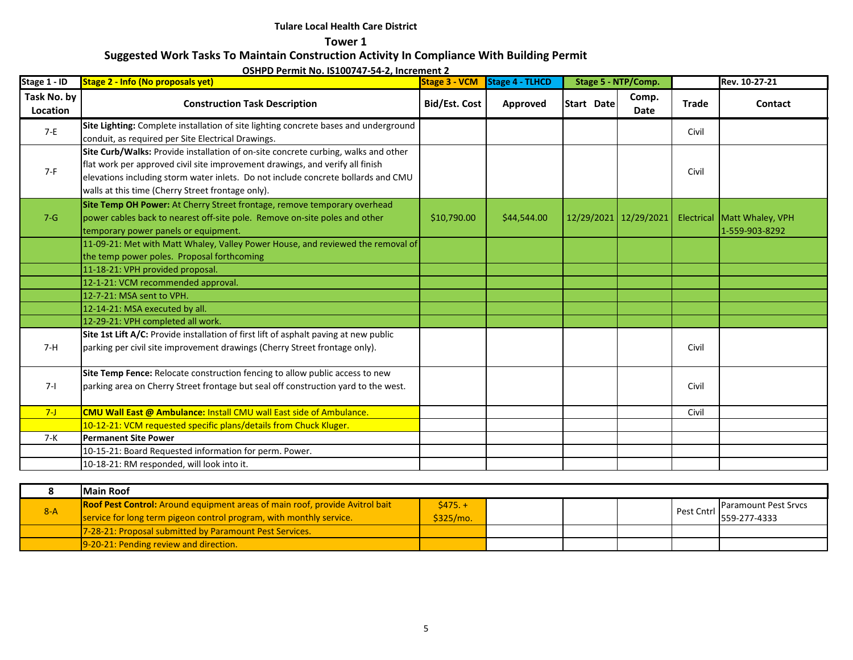**Tower 1**

# **Suggested Work Tasks To Maintain Construction Activity In Compliance With Building Permit**

| Stage 1 - ID            | Stage 2 - Info (No proposals yet)                                                                                                                                                                                                                                                                             | <b>Stage 3 - VCM</b> | Stage 4 - TLHCD | Stage 5 - NTP/Comp. |                       |              | Rev. 10-27-21                                 |
|-------------------------|---------------------------------------------------------------------------------------------------------------------------------------------------------------------------------------------------------------------------------------------------------------------------------------------------------------|----------------------|-----------------|---------------------|-----------------------|--------------|-----------------------------------------------|
| Task No. by<br>Location | <b>Construction Task Description</b>                                                                                                                                                                                                                                                                          | <b>Bid/Est. Cost</b> | Approved        | Start Date          | Comp.<br><b>Date</b>  | <b>Trade</b> | Contact                                       |
| $7-E$                   | Site Lighting: Complete installation of site lighting concrete bases and underground<br>conduit, as required per Site Electrical Drawings.                                                                                                                                                                    |                      |                 |                     |                       | Civil        |                                               |
| $7-F$                   | Site Curb/Walks: Provide installation of on-site concrete curbing, walks and other<br>flat work per approved civil site improvement drawings, and verify all finish<br>elevations including storm water inlets. Do not include concrete bollards and CMU<br>walls at this time (Cherry Street frontage only). |                      |                 |                     |                       | Civil        |                                               |
| $7 - G$                 | Site Temp OH Power: At Cherry Street frontage, remove temporary overhead<br>power cables back to nearest off-site pole. Remove on-site poles and other<br>temporary power panels or equipment.                                                                                                                | \$10,790.00          | \$44,544.00     |                     | 12/29/2021 12/29/2021 |              | Electrical Matt Whaley, VPH<br>1-559-903-8292 |
|                         | 11-09-21: Met with Matt Whaley, Valley Power House, and reviewed the removal of<br>the temp power poles. Proposal forthcoming                                                                                                                                                                                 |                      |                 |                     |                       |              |                                               |
|                         | 11-18-21: VPH provided proposal.                                                                                                                                                                                                                                                                              |                      |                 |                     |                       |              |                                               |
|                         | 12-1-21: VCM recommended approval.                                                                                                                                                                                                                                                                            |                      |                 |                     |                       |              |                                               |
|                         | 12-7-21: MSA sent to VPH.                                                                                                                                                                                                                                                                                     |                      |                 |                     |                       |              |                                               |
|                         | 12-14-21: MSA executed by all.                                                                                                                                                                                                                                                                                |                      |                 |                     |                       |              |                                               |
|                         | 12-29-21: VPH completed all work.                                                                                                                                                                                                                                                                             |                      |                 |                     |                       |              |                                               |
| $7-H$                   | Site 1st Lift A/C: Provide installation of first lift of asphalt paving at new public<br>parking per civil site improvement drawings (Cherry Street frontage only).                                                                                                                                           |                      |                 |                     |                       | Civil        |                                               |
| $7 - 1$                 | Site Temp Fence: Relocate construction fencing to allow public access to new<br>parking area on Cherry Street frontage but seal off construction yard to the west.                                                                                                                                            |                      |                 |                     |                       | Civil        |                                               |
| $7 - J$                 | <b>CMU Wall East @ Ambulance: Install CMU wall East side of Ambulance.</b>                                                                                                                                                                                                                                    |                      |                 |                     |                       | Civil        |                                               |
|                         | 10-12-21: VCM requested specific plans/details from Chuck Kluger.                                                                                                                                                                                                                                             |                      |                 |                     |                       |              |                                               |
| 7-K                     | <b>Permanent Site Power</b>                                                                                                                                                                                                                                                                                   |                      |                 |                     |                       |              |                                               |
|                         | 10-15-21: Board Requested information for perm. Power.                                                                                                                                                                                                                                                        |                      |                 |                     |                       |              |                                               |
|                         | 10-18-21: RM responded, will look into it.                                                                                                                                                                                                                                                                    |                      |                 |                     |                       |              |                                               |

|       | <b>Main Roof</b>                                                                                                                                           |                       |  |            |                                             |
|-------|------------------------------------------------------------------------------------------------------------------------------------------------------------|-----------------------|--|------------|---------------------------------------------|
| $8-A$ | <b>Roof Pest Control:</b> Around equipment areas of main roof, provide Avitrol bait<br>service for long term pigeon control program, with monthly service. | $$475.+$<br>\$325/mol |  | Pest Cntrl | <b>Paramount Pest Srvcs</b><br>559-277-4333 |
|       | 7-28-21: Proposal submitted by Paramount Pest Services.                                                                                                    |                       |  |            |                                             |
|       | 9-20-21: Pending review and direction.                                                                                                                     |                       |  |            |                                             |